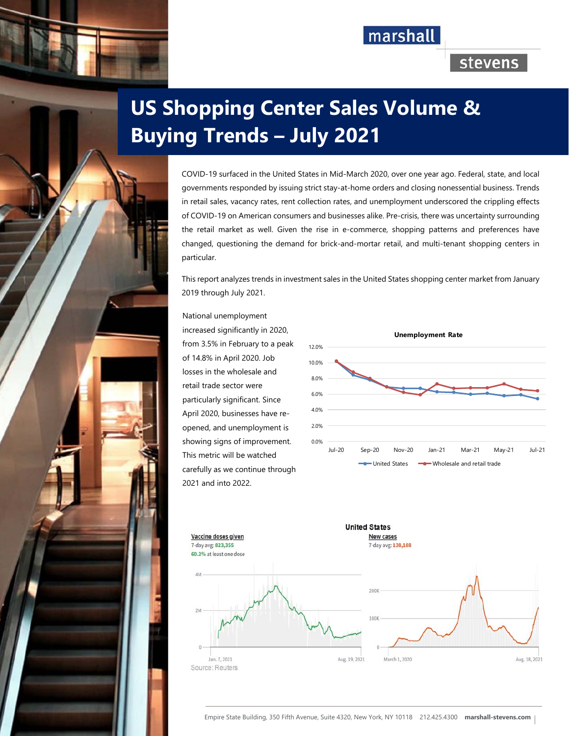## marshall

### stevens

# **US Shopping Center Sales Volume & Buying Trends – July 2021**

COVID-19 surfaced in the United States in Mid-March 2020, over one year ago. Federal, state, and local governments responded by issuing strict stay-at-home orders and closing nonessential business. Trends in retail sales, vacancy rates, rent collection rates, and unemployment underscored the crippling effects of COVID-19 on American consumers and businesses alike. Pre-crisis, there was uncertainty surrounding the retail market as well. Given the rise in e-commerce, shopping patterns and preferences have changed, questioning the demand for brick-and-mortar retail, and multi-tenant shopping centers in particular.

This report analyzes trends in investment sales in the United States shopping center market from January 2019 through July 2021.

National unemployment increased significantly in 2020, from 3.5% in February to a peak of 14.8% in April 2020. Job losses in the wholesale and retail trade sector were particularly significant. Since April 2020, businesses have reopened, and unemployment is showing signs of improvement. This metric will be watched carefully as we continue through 2021 and into 2022.





Empire State Building, 350 Fifth Avenue, Suite 4320, New York, NY 10118 212.425.4300 **marshall-stevens.com**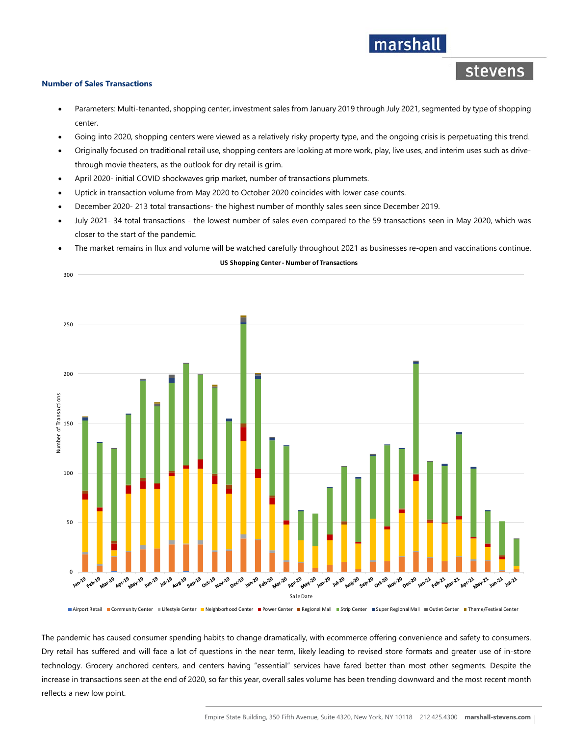### stevens

marshall

#### **Number of Sales Transactions**

- Parameters: Multi-tenanted, shopping center, investment sales from January 2019 through July 2021, segmented by type of shopping center.
- Going into 2020, shopping centers were viewed as a relatively risky property type, and the ongoing crisis is perpetuating this trend.
- Originally focused on traditional retail use, shopping centers are looking at more work, play, live uses, and interim uses such as drivethrough movie theaters, as the outlook for dry retail is grim.
- April 2020- initial COVID shockwaves grip market, number of transactions plummets.
- Uptick in transaction volume from May 2020 to October 2020 coincides with lower case counts.
- December 2020- 213 total transactions- the highest number of monthly sales seen since December 2019.
- July 2021- 34 total transactions the lowest number of sales even compared to the 59 transactions seen in May 2020, which was closer to the start of the pandemic.
- The market remains in flux and volume will be watched carefully throughout 2021 as businesses re-open and vaccinations continue.

#### **US Shopping Center ‐ Number of Transactions**



The pandemic has caused consumer spending habits to change dramatically, with ecommerce offering convenience and safety to consumers. Dry retail has suffered and will face a lot of questions in the near term, likely leading to revised store formats and greater use of in-store technology. Grocery anchored centers, and centers having "essential" services have fared better than most other segments. Despite the increase in transactions seen at the end of 2020, so far this year, overall sales volume has been trending downward and the most recent month reflects a new low point.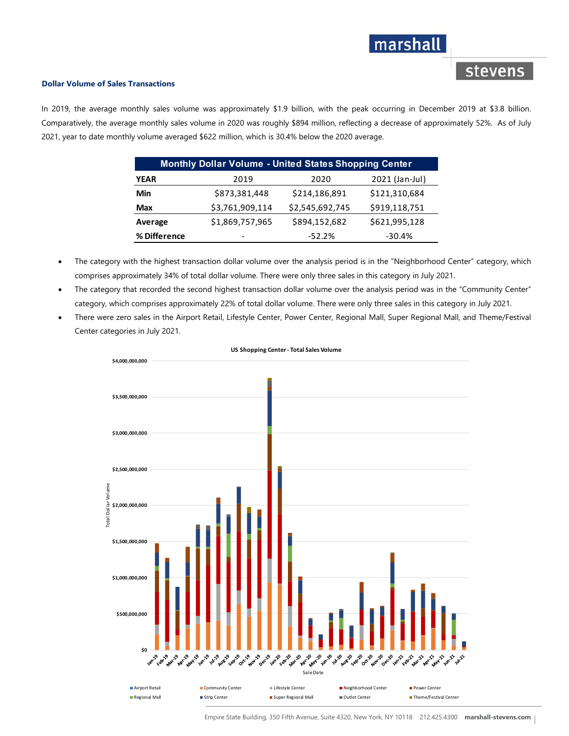### marshall

### stevens

#### **Dollar Volume of Sales Transactions**

In 2019, the average monthly sales volume was approximately \$1.9 billion, with the peak occurring in December 2019 at \$3.8 billion. Comparatively, the average monthly sales volume in 2020 was roughly \$894 million, reflecting a decrease of approximately 52%. As of July 2021, year to date monthly volume averaged \$622 million, which is 30.4% below the 2020 average.

| <b>Monthly Dollar Volume - United States Shopping Center</b> |                 |                 |                |  |  |  |  |  |  |  |
|--------------------------------------------------------------|-----------------|-----------------|----------------|--|--|--|--|--|--|--|
| <b>YEAR</b>                                                  | 2019            | 2020            | 2021 (Jan-Jul) |  |  |  |  |  |  |  |
| Min                                                          | \$873,381,448   | \$214,186,891   | \$121,310,684  |  |  |  |  |  |  |  |
| Max                                                          | \$3,761,909,114 | \$2,545,692,745 | \$919,118,751  |  |  |  |  |  |  |  |
| Average                                                      | \$1,869,757,965 | \$894,152,682   | \$621,995,128  |  |  |  |  |  |  |  |
| % Difference                                                 | -               | $-52.2%$        | $-30.4%$       |  |  |  |  |  |  |  |

- The category with the highest transaction dollar volume over the analysis period is in the "Neighborhood Center" category, which comprises approximately 34% of total dollar volume. There were only three sales in this category in July 2021.
- The category that recorded the second highest transaction dollar volume over the analysis period was in the "Community Center" category, which comprises approximately 22% of total dollar volume. There were only three sales in this category in July 2021.
- There were zero sales in the Airport Retail, Lifestyle Center, Power Center, Regional Mall, Super Regional Mall, and Theme/Festival Center categories in July 2021.



#### **US Shopping Center ‐ Total Sales Volume**

Empire State Building, 350 Fifth Avenue, Suite 4320, New York, NY 10118 212.425.4300 **marshall-stevens.com**